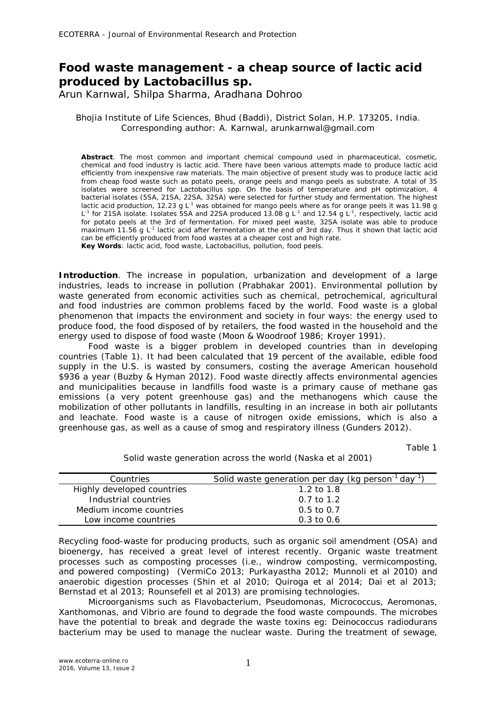# **Food waste management - a cheap source of lactic acid produced by** *Lactobacillus* **sp.**

Arun Karnwal, Shilpa Sharma, Aradhana Dohroo

Bhojia Institute of Life Sciences, Bhud (Baddi), District Solan, H.P. 173205, India. Corresponding author: A. Karnwal, arunkarnwal@gmail.com

**Abstract**. The most common and important chemical compound used in pharmaceutical, cosmetic, chemical and food industry is lactic acid. There have been various attempts made to produce lactic acid efficiently from inexpensive raw materials. The main objective of present study was to produce lactic acid from cheap food waste such as potato peels, orange peels and mango peels as substrate. A total of 35 isolates were screened for *Lactobacillus* spp. On the basis of temperature and pH optimization, 4 bacterial isolates (5SA, 21SA, 22SA, 32SA) were selected for further study and fermentation. The highest lactic acid production, 12.23 g L<sup>-1</sup> was obtained for mango peels where as for orange peels it was 11.98 g L<sup>-1</sup> for 21SA isolate. Isolates 5SA and 22SA produced 13.08 g L<sup>-1</sup> and 12.54 g L<sup>-1</sup>, respectively, lactic acid for potato peels at the 3rd of fermentation. For mixed peel waste, 32SA isolate was able to produce maximum 11.56 g L<sup>-1</sup> lactic acid after fermentation at the end of 3rd day. Thus it shown that lactic acid can be efficiently produced from food wastes at a cheaper cost and high rate.

**Key Words**: lactic acid, food waste, *Lactobacillus*, pollution, food peels.

**Introduction**. The increase in population, urbanization and development of a large industries, leads to increase in pollution (Prabhakar 2001). Environmental pollution by waste generated from economic activities such as chemical, petrochemical, agricultural and food industries are common problems faced by the world. Food waste is a global phenomenon that impacts the environment and society in four ways: the energy used to produce food, the food disposed of by retailers, the food wasted in the household and the energy used to dispose of food waste (Moon & Woodroof 1986; Kroyer 1991).

Food waste is a bigger problem in developed countries than in developing countries (Table 1). It had been calculated that 19 percent of the available, edible food supply in the U.S. is wasted by consumers, costing the average American household \$936 a year (Buzby & Hyman 2012). Food waste directly affects environmental agencies and municipalities because in landfills food waste is a primary cause of methane gas emissions (a very potent greenhouse gas) and the methanogens which cause the mobilization of other pollutants in landfills, resulting in an increase in both air pollutants and leachate. Food waste is a cause of nitrogen oxide emissions, which is also a greenhouse gas, as well as a cause of smog and respiratory illness (Gunders 2012).

Table 1

Solid waste generation across the world (Naska et al 2001)

| Countries                  | Solid waste generation per day (kg person <sup>-1</sup> day <sup>-1</sup> ) |
|----------------------------|-----------------------------------------------------------------------------|
| Highly developed countries | 1.2 to $1.8$                                                                |
| Industrial countries       | $0.7$ to 1.2                                                                |
| Medium income countries    | $0.5 \text{ to } 0.7$                                                       |
| Low income countries       | $0.3 \text{ to } 0.6$                                                       |

Recycling food-waste for producing products, such as organic soil amendment (OSA) and bioenergy, has received a great level of interest recently. Organic waste treatment processes such as composting processes (i.e., windrow composting, vermicomposting, and powered composting) (VermiCo 2013; Purkayastha 2012; Munnoli et al 2010) and anaerobic digestion processes (Shin et al 2010; Quiroga et al 2014; Dai et al 2013; Bernstad et al 2013; Rounsefell et al 2013) are promising technologies.

Microorganisms such as *Flavobacterium, Pseudomonas, Micrococcus, Aeromonas, Xanthomonas,* and *Vibrio* are found to degrade the food waste compounds. The microbes have the potential to break and degrade the waste toxins eg: *Deinococcus radiodurans* bacterium may be used to manage the nuclear waste. During the treatment of sewage,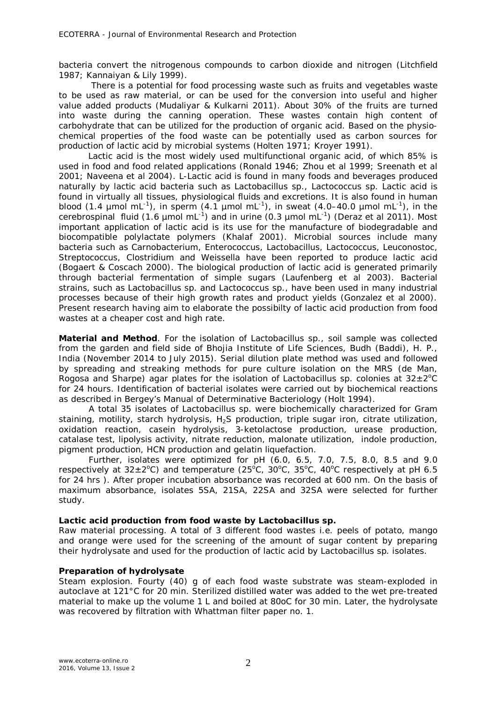bacteria convert the nitrogenous compounds to carbon dioxide and nitrogen (Litchfield 1987; Kannaiyan & Lily 1999).

 There is a potential for food processing waste such as fruits and vegetables waste to be used as raw material, or can be used for the conversion into useful and higher value added products (Mudaliyar & Kulkarni 2011). About 30% of the fruits are turned into waste during the canning operation. These wastes contain high content of carbohydrate that can be utilized for the production of organic acid. Based on the physiochemical properties of the food waste can be potentially used as carbon sources for production of lactic acid by microbial systems (Holten 1971; Kroyer 1991).

Lactic acid is the most widely used multifunctional organic acid, of which 85% is used in food and food related applications (Ronald 1946; Zhou et al 1999; Sreenath et al 2001; Naveena et al 2004). L-Lactic acid is found in many foods and beverages produced naturally by lactic acid bacteria such as *Lactobacillus* sp., *Lactococcus* sp. Lactic acid is found in virtually all tissues, physiological fluids and excretions. It is also found in human blood (1.4  $\mu$ mol mL<sup>-1</sup>), in sperm (4.1  $\mu$ mol mL<sup>-1</sup>), in sweat (4.0–40.0  $\mu$ mol mL<sup>-1</sup>), in the cerebrospinal fluid (1.6  $\mu$ mol mL<sup>-1</sup>) and in urine (0.3  $\mu$ mol mL<sup>-1</sup>) (Deraz et al 2011). Most important application of lactic acid is its use for the manufacture of biodegradable and biocompatible polylactate polymers (Khalaf 2001). Microbial sources include many bacteria such as *Carnobacterium, Enterococcus, Lactobacillus, Lactococcus, Leuconostoc, Streptococcus, Clostridium* and *Weissella* have been reported to produce lactic acid (Bogaert & Coscach 2000). The biological production of lactic acid is generated primarily through bacterial fermentation of simple sugars (Laufenberg et al 2003). Bacterial strains, such as *Lactobacillus* sp. and *Lactococcus* sp., have been used in many industrial processes because of their high growth rates and product yields (Gonzalez et al 2000). Present research having aim to elaborate the possibilty of lactic acid production from food wastes at a cheaper cost and high rate.

**Material and Method**. For the isolation of *Lactobacillus* sp*.,* soil sample was collected from the garden and field side of Bhojia Institute of Life Sciences, Budh (Baddi), H. P., India (November 2014 to July 2015). Serial dilution plate method was used and followed by spreading and streaking methods for pure culture isolation on the MRS (de Man, Rogosa and Sharpe) agar plates for the isolation of *Lactobacillus* sp. colonies at 32±2°C for 24 hours. Identification of bacterial isolates were carried out by biochemical reactions as described in Bergey's Manual of Determinative Bacteriology (Holt 1994).

A total 35 isolates of *Lactobacillus* sp. were biochemically characterized for Gram staining, motility, starch hydrolysis, H<sub>2</sub>S production, triple sugar iron, citrate utilization, oxidation reaction, casein hydrolysis, 3-ketolactose production, urease production, catalase test, lipolysis activity, nitrate reduction, malonate utilization, indole production, pigment production, HCN production and gelatin liquefaction.

Further, isolates were optimized for pH (6.0, 6.5, 7.0, 7.5, 8.0, 8.5 and 9.0 respectively at  $32\pm2\degree$ C) and temperature (25 $\degree$ C, 30 $\degree$ C, 35 $\degree$ C, 40 $\degree$ C respectively at pH 6.5 for 24 hrs ). After proper incubation absorbance was recorded at 600 nm. On the basis of maximum absorbance, isolates 5SA, 21SA, 22SA and 32SA were selected for further study.

# *Lactic acid production from food waste by Lactobacillus sp.*

*Raw material processing.* A total of 3 different food wastes i.e. peels of potato, mango and orange were used for the screening of the amount of sugar content by preparing their hydrolysate and used for the production of lactic acid by *Lactobacillus* sp*.* isolates.

# *Preparation of hydrolysate*

*Steam explosion.* Fourty (40) g of each food waste substrate was steam-exploded in autoclave at 121°C for 20 min. Sterilized distilled water was added to the wet pre-treated material to make up the volume 1 L and boiled at 80oC for 30 min. Later, the hydrolysate was recovered by filtration with Whattman filter paper no. 1.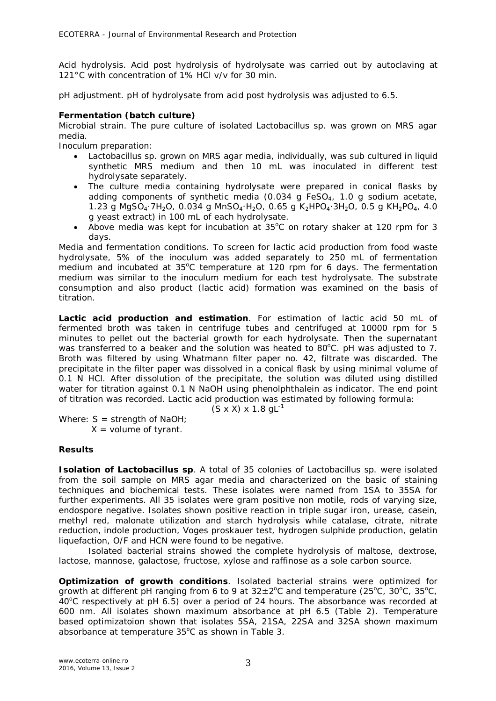*Acid hydrolysis*. Acid post hydrolysis of hydrolysate was carried out by autoclaving at 121°C with concentration of 1% HCl v/v for 30 min.

*pH adjustment.* pH of hydrolysate from acid post hydrolysis was adjusted to 6.5.

# *Fermentation (batch culture)*

*Microbial strain.* The pure culture of isolated *Lactobacillus* sp*.* was grown on MRS agar media.

*Inoculum preparation:*

- *Lactobacillus* sp. grown on MRS agar media, individually, was sub cultured in liquid synthetic MRS medium and then 10 mL was inoculated in different test hydrolysate separately.
- The culture media containing hydrolysate were prepared in conical flasks by adding components of synthetic media (0.034 g FeSO $_4$ , 1.0 g sodium acetate, 1.23 g MgSO<sub>4</sub>·7H<sub>2</sub>O, 0.034 g MnSO<sub>4</sub>·H<sub>2</sub>O, 0.65 g K<sub>2</sub>HPO<sub>4</sub>·3H<sub>2</sub>O, 0.5 g KH<sub>2</sub>PO<sub>4</sub>, 4.0 g yeast extract) in 100 mL of each hydrolysate.
- Above media was kept for incubation at  $35^{\circ}$ C on rotary shaker at 120 rpm for 3 days.

*Media and fermentation conditions.* To screen for lactic acid production from food waste hydrolysate, 5% of the inoculum was added separately to 250 mL of fermentation medium and incubated at  $35^{\circ}$ C temperature at 120 rpm for 6 days. The fermentation medium was similar to the inoculum medium for each test hydrolysate. The substrate consumption and also product (lactic acid) formation was examined on the basis of titration.

*Lactic acid production and estimation.* For estimation of lactic acid 50 mL of fermented broth was taken in centrifuge tubes and centrifuged at 10000 rpm for 5 minutes to pellet out the bacterial growth for each hydrolysate. Then the supernatant was transferred to a beaker and the solution was heated to 80 $^{\circ}$ C. pH was adjusted to 7. Broth was filtered by using Whatmann filter paper no. 42, filtrate was discarded. The precipitate in the filter paper was dissolved in a conical flask by using minimal volume of 0.1 N HCl. After dissolution of the precipitate, the solution was diluted using distilled water for titration against 0.1 N NaOH using phenolphthalein as indicator. The end point of titration was recorded. Lactic acid production was estimated by following formula:

 $(S \times X) \times 1.8 \text{ gL}^{-1}$ 

Where:  $S =$  strength of NaOH;  $X =$  volume of tyrant.

# **Results**

*Isolation of Lactobacillus sp.* A total of 35 colonies of *Lactobacillus* sp. were isolated from the soil sample on MRS agar media and characterized on the basic of staining techniques and biochemical tests. These isolates were named from 1SA to 35SA for further experiments. All 35 isolates were gram positive non motile, rods of varying size, endospore negative. Isolates shown positive reaction in triple sugar iron, urease, casein, methyl red, malonate utilization and starch hydrolysis while catalase, citrate, nitrate reduction, indole production, Voges proskauer test, hydrogen sulphide production, gelatin liquefaction, O/F and HCN were found to be negative.

Isolated bacterial strains showed the complete hydrolysis of maltose, dextrose, lactose, mannose, galactose, fructose, xylose and raffinose as a sole carbon source.

*Optimization of growth conditions.* Isolated bacterial strains were optimized for growth at different pH ranging from 6 to 9 at  $32\pm2^{\circ}$ C and temperature (25 $^{\circ}$ C, 30 $^{\circ}$ C, 35 $^{\circ}$ C,  $40^{\circ}$ C respectively at pH 6.5) over a period of 24 hours. The absorbance was recorded at 600 nm. All isolates shown maximum absorbance at pH 6.5 (Table 2). Temperature based optimizatoion shown that isolates 5SA, 21SA, 22SA and 32SA shown maximum absorbance at temperature 35°C as shown in Table 3.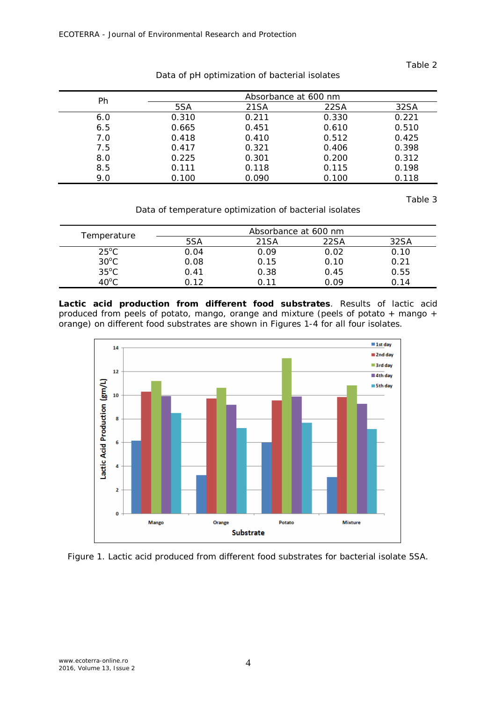# Table 2

| Ph  | Absorbance at 600 nm |       |       |       |
|-----|----------------------|-------|-------|-------|
|     | 5SA                  | 21SA  | 22SA  | 32SA  |
| 6.0 | 0.310                | 0.211 | 0.330 | 0.221 |
| 6.5 | 0.665                | 0.451 | 0.610 | 0.510 |
| 7.0 | 0.418                | 0.410 | 0.512 | 0.425 |
| 7.5 | 0.417                | 0.321 | 0.406 | 0.398 |
| 8.0 | 0.225                | 0.301 | 0.200 | 0.312 |
| 8.5 | 0.111                | 0.118 | 0.115 | 0.198 |
| 9.0 | 0.100                | 0.090 | 0.100 | 0.118 |

Data of pH optimization of bacterial isolates

Table 3

Data of temperature optimization of bacterial isolates

| Temperature    | Absorbance at 600 nm |      |      |      |
|----------------|----------------------|------|------|------|
|                | 5SA                  | 21SA | 22SA | 32SA |
| $25^{\circ}$ C | 0.04                 | 0.09 | 0.02 | 0.10 |
| $30^{\circ}$ C | 0.08                 | 0.15 | 0.10 | 0.21 |
| $35^{\circ}$ C | 0.41                 | 0.38 | 0.45 | 0.55 |
| $40^{\circ}$ C |                      | ∩ 11 | ገ በ9 | ገ 14 |

*Lactic acid production from different food substrates.* Results of lactic acid produced from peels of potato, mango, orange and mixture (peels of potato + mango + orange) on different food substrates are shown in Figures 1-4 for all four isolates.



Figure 1. Lactic acid produced from different food substrates for bacterial isolate 5SA.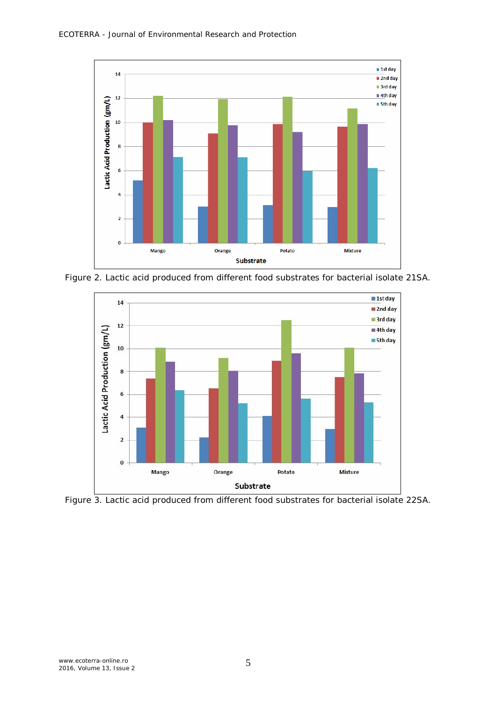

Figure 2. Lactic acid produced from different food substrates for bacterial isolate 21SA.



Figure 3. Lactic acid produced from different food substrates for bacterial isolate 22SA.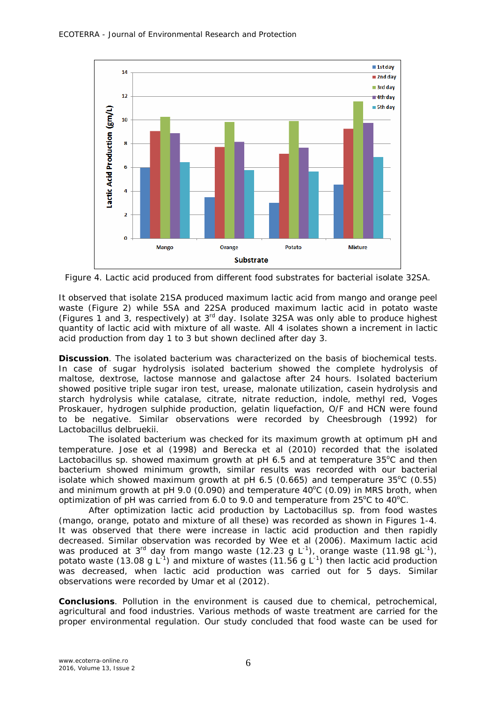

Figure 4. Lactic acid produced from different food substrates for bacterial isolate 32SA.

It observed that isolate 21SA produced maximum lactic acid from mango and orange peel waste (Figure 2) while 5SA and 22SA produced maximum lactic acid in potato waste (Figures 1 and 3, respectively) at 3rd day. Isolate 32SA was only able to produce highest quantity of lactic acid with mixture of all waste. All 4 isolates shown a increment in lactic acid production from day 1 to 3 but shown declined after day 3.

**Discussion**. The isolated bacterium was characterized on the basis of biochemical tests. In case of sugar hydrolysis isolated bacterium showed the complete hydrolysis of maltose, dextrose, lactose mannose and galactose after 24 hours. Isolated bacterium showed positive triple sugar iron test, urease, malonate utilization, casein hydrolysis and starch hydrolysis while catalase, citrate, nitrate reduction, indole, methyl red, Voges Proskauer, hydrogen sulphide production, gelatin liquefaction, O/F and HCN were found to be negative. Similar observations were recorded by Cheesbrough (1992) for *Lactobacillus delbruekii.*

The isolated bacterium was checked for its maximum growth at optimum pH and temperature. Jose et al (1998) and Berecka et al (2010) recorded that the isolated *Lactobacillus* sp. showed maximum growth at pH 6.5 and at temperature 35°C and then bacterium showed minimum growth, similar results was recorded with our bacterial isolate which showed maximum growth at pH  $6.5$  (0.665) and temperature 35 $\degree$ C (0.55) and minimum growth at pH 9.0 (0.090) and temperature  $40^{\circ}$ C (0.09) in MRS broth, when optimization of pH was carried from 6.0 to 9.0 and temperature from  $25^{\circ}$ C to  $40^{\circ}$ C.

After optimization lactic acid production by *Lactobacillus* sp. from food wastes (mango, orange, potato and mixture of all these) was recorded as shown in Figures 1-4. It was observed that there were increase in lactic acid production and then rapidly decreased. Similar observation was recorded by Wee et al (2006). Maximum lactic acid was produced at 3<sup>rd</sup> day from mango waste (12.23 g L<sup>-1</sup>), orange waste (11.98 gL<sup>-1</sup>), potato waste (13.08 g  $L^{-1}$ ) and mixture of wastes (11.56 g  $L^{-1}$ ) then lactic acid production was decreased, when lactic acid production was carried out for 5 days. Similar observations were recorded by Umar et al (2012).

**Conclusions**. Pollution in the environment is caused due to chemical, petrochemical, agricultural and food industries. Various methods of waste treatment are carried for the proper environmental regulation. Our study concluded that food waste can be used for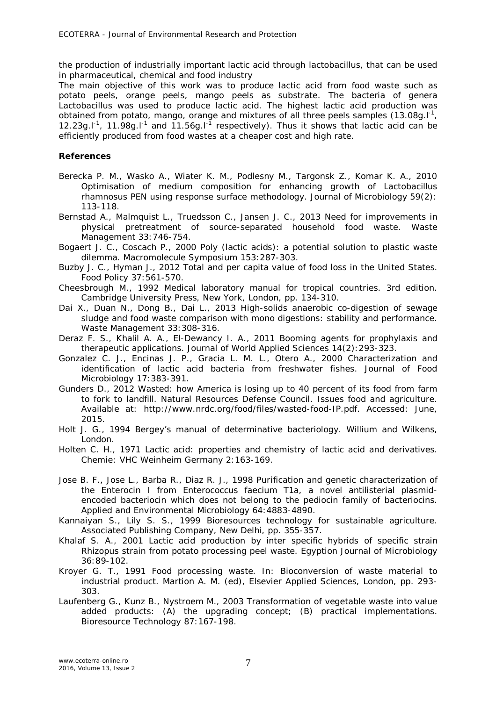the production of industrially important lactic acid through lactobacillus, that can be used in pharmaceutical, chemical and food industry

The main objective of this work was to produce lactic acid from food waste such as potato peels, orange peels, mango peels as substrate. The bacteria of genera Lactobacillus was used to produce lactic acid. The highest lactic acid production was obtained from potato, mango, orange and mixtures of all three peels samples (13.08g.l<sup>-1</sup>, 12.23g.I<sup>-1</sup>, 11.98g.I<sup>-1</sup> and 11.56g.I<sup>-1</sup> respectively). Thus it shows that lactic acid can be efficiently produced from food wastes at a cheaper cost and high rate.

# **References**

- Berecka P. M., Wasko A., Wiater K. M., Podlesny M., Targonsk Z., Komar K. A., 2010 Optimisation of medium composition for enhancing growth of *Lactobacillus rhamnosus* PEN using response surface methodology. Journal of Microbiology 59(2): 113-118.
- Bernstad A., Malmquist L., Truedsson C., Jansen J. C., 2013 Need for improvements in physical pretreatment of source-separated household food waste. Waste Management 33:746-754.
- Bogaert J. C., Coscach P., 2000 Poly (lactic acids): a potential solution to plastic waste dilemma. Macromolecule Symposium 153:287-303.
- Buzby J. C., Hyman J., 2012 Total and per capita value of food loss in the United States. Food Policy 37:561-570.
- Cheesbrough M., 1992 Medical laboratory manual for tropical countries. 3rd edition. Cambridge University Press, New York, London, pp. 134-310.
- Dai X., Duan N., Dong B., Dai L., 2013 High-solids anaerobic co-digestion of sewage sludge and food waste comparison with mono digestions: stability and performance. Waste Management 33:308-316.
- Deraz F. S., Khalil A. A., El-Dewancy I. A., 2011 Booming agents for prophylaxis and therapeutic applications. Journal of World Applied Sciences 14(2):293-323.
- Gonzalez C. J., Encinas J. P., Gracia L. M. L., Otero A., 2000 Characterization and identification of lactic acid bacteria from freshwater fishes. Journal of Food Microbiology 17:383-391.
- Gunders D., 2012 Wasted: how America is losing up to 40 percent of its food from farm to fork to landfill. Natural Resources Defense Council. Issues food and agriculture. Available at: http://www.nrdc.org/food/files/wasted-food-IP.pdf. Accessed: June, 2015.
- Holt J. G., 1994 Bergey's manual of determinative bacteriology. Willium and Wilkens, London.
- Holten C. H., 1971 Lactic acid: properties and chemistry of lactic acid and derivatives. Chemie: VHC Weinheim Germany 2:163-169.
- Jose B. F., Jose L., Barba R., Diaz R. J., 1998 Purification and genetic characterization of the Enterocin I from *Enterococcus faecium* T1a, a novel antilisterial plasmidencoded bacteriocin which does not belong to the pediocin family of bacteriocins. Applied and Environmental Microbiology 64:4883-4890.
- Kannaiyan S., Lily S. S., 1999 Bioresources technology for sustainable agriculture. Associated Publishing Company, New Delhi, pp. 355-357.
- Khalaf S. A., 2001 Lactic acid production by inter specific hybrids of specific strain *Rhizopus* strain from potato processing peel waste. Egyption Journal of Microbiology 36:89-102.
- Kroyer G. T., 1991 Food processing waste. In: Bioconversion of waste material to industrial product. Martion A. M. (ed), Elsevier Applied Sciences, London, pp. 293- 303.
- Laufenberg G., Kunz B., Nystroem M., 2003 Transformation of vegetable waste into value added products: (A) the upgrading concept; (B) practical implementations. Bioresource Technology 87:167-198.